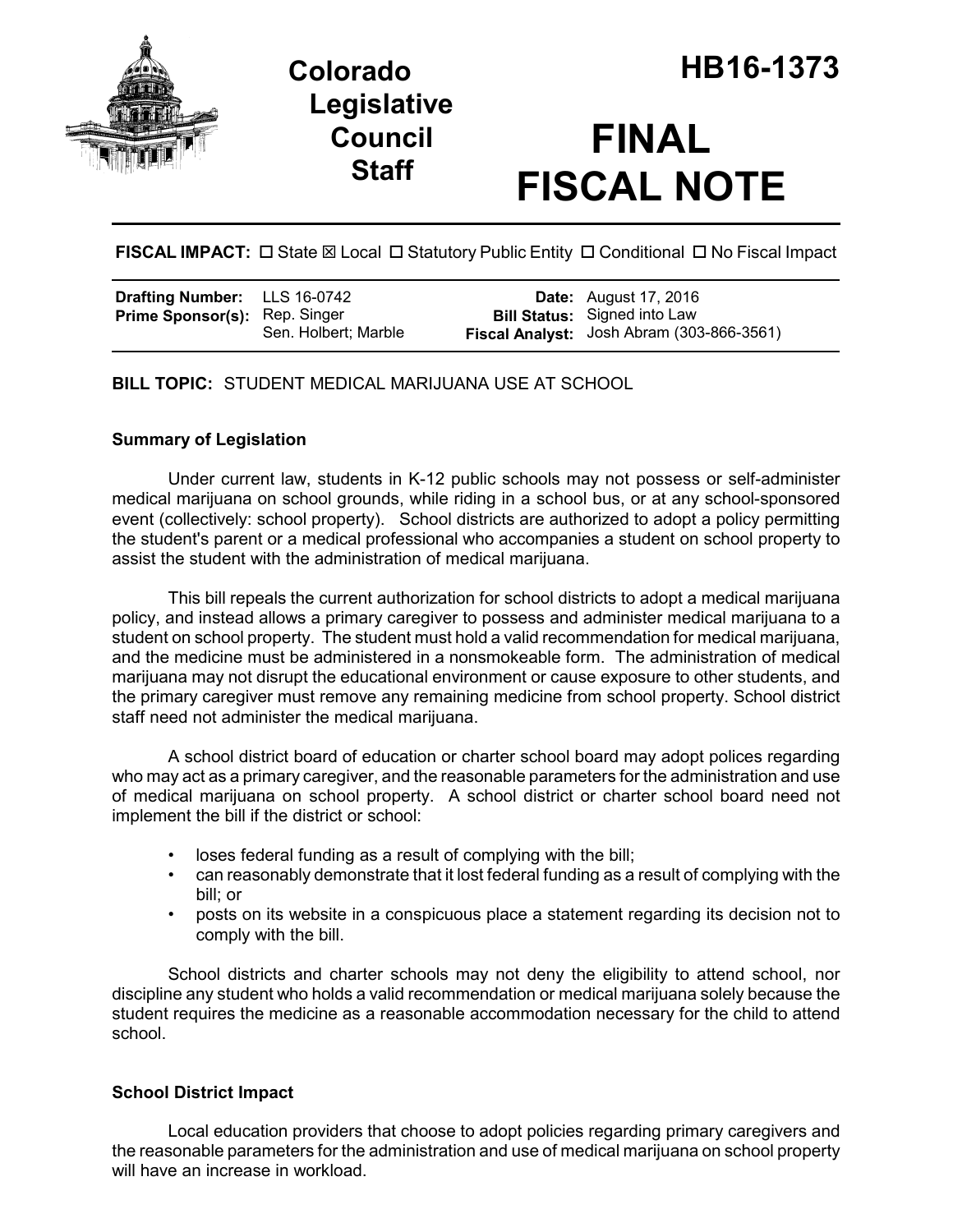

**Legislative Council Staff**

# **FINAL FISCAL NOTE**

**FISCAL IMPACT:** □ State ⊠ Local □ Statutory Public Entity □ Conditional □ No Fiscal Impact

| <b>Drafting Number:</b> LLS 16-0742  |                      | <b>Date:</b> August 17, 2016                                                     |
|--------------------------------------|----------------------|----------------------------------------------------------------------------------|
| <b>Prime Sponsor(s): Rep. Singer</b> | Sen. Holbert: Marble | <b>Bill Status:</b> Signed into Law<br>Fiscal Analyst: Josh Abram (303-866-3561) |

**BILL TOPIC:** STUDENT MEDICAL MARIJUANA USE AT SCHOOL

## **Summary of Legislation**

Under current law, students in K-12 public schools may not possess or self-administer medical marijuana on school grounds, while riding in a school bus, or at any school-sponsored event (collectively: school property). School districts are authorized to adopt a policy permitting the student's parent or a medical professional who accompanies a student on school property to assist the student with the administration of medical marijuana.

This bill repeals the current authorization for school districts to adopt a medical marijuana policy, and instead allows a primary caregiver to possess and administer medical marijuana to a student on school property. The student must hold a valid recommendation for medical marijuana, and the medicine must be administered in a nonsmokeable form. The administration of medical marijuana may not disrupt the educational environment or cause exposure to other students, and the primary caregiver must remove any remaining medicine from school property. School district staff need not administer the medical marijuana.

A school district board of education or charter school board may adopt polices regarding who may act as a primary caregiver, and the reasonable parameters for the administration and use of medical marijuana on school property. A school district or charter school board need not implement the bill if the district or school:

- loses federal funding as a result of complying with the bill;
- can reasonably demonstrate that it lost federal funding as a result of complying with the bill; or
- posts on its website in a conspicuous place a statement regarding its decision not to comply with the bill.

School districts and charter schools may not deny the eligibility to attend school, nor discipline any student who holds a valid recommendation or medical marijuana solely because the student requires the medicine as a reasonable accommodation necessary for the child to attend school.

### **School District Impact**

Local education providers that choose to adopt policies regarding primary caregivers and the reasonable parameters for the administration and use of medical marijuana on school property will have an increase in workload.